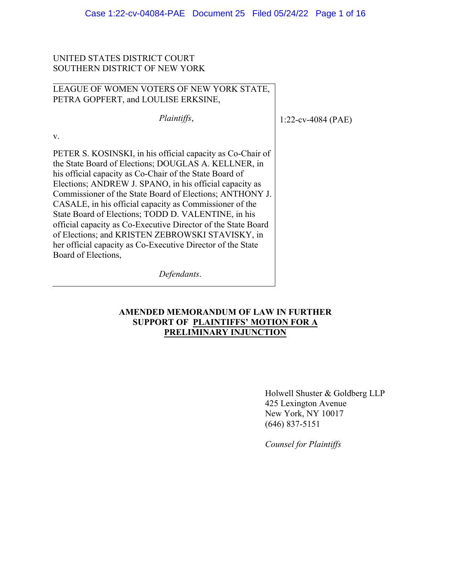## UNITED STATES DISTRICT COURT SOUTHERN DISTRICT OF NEW YORK

v.

## LEAGUE OF WOMEN VOTERS OF NEW YORK STATE, PETRA GOPFERT, and LOULISE ERKSINE,

*Plaintiffs*, PETER S. KOSINSKI, in his official capacity as Co-Chair of the State Board of Elections; DOUGLAS A. KELLNER, in his official capacity as Co-Chair of the State Board of Elections; ANDREW J. SPANO, in his official capacity as Commissioner of the State Board of Elections; ANTHONY J. CASALE, in his official capacity as Commissioner of the

State Board of Elections; TODD D. VALENTINE, in his official capacity as Co-Executive Director of the State Board of Elections; and KRISTEN ZEBROWSKI STAVISKY, in her official capacity as Co-Executive Director of the State Board of Elections,

*Defendants*.

## **AMENDED MEMORANDUM OF LAW IN FURTHER SUPPORT OF PLAINTIFFS' MOTION FOR A PRELIMINARY INJUNCTION**

Holwell Shuster & Goldberg LLP 425 Lexington Avenue New York, NY 10017 (646) 837-5151

1:22-cv-4084 (PAE)

*Counsel for Plaintiffs*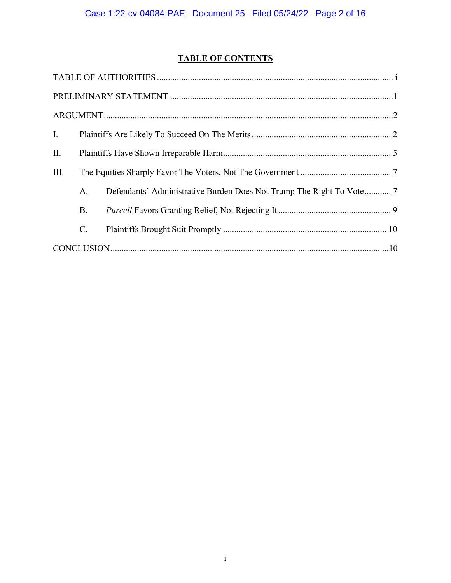# **TABLE OF CONTENTS**

| I.   |                |                                                                      |  |  |  |
|------|----------------|----------------------------------------------------------------------|--|--|--|
| II.  |                |                                                                      |  |  |  |
| III. |                |                                                                      |  |  |  |
|      | A <sub>1</sub> | Defendants' Administrative Burden Does Not Trump The Right To Vote 7 |  |  |  |
|      | <b>B.</b>      |                                                                      |  |  |  |
|      | $\mathbf{C}$ . |                                                                      |  |  |  |
|      |                |                                                                      |  |  |  |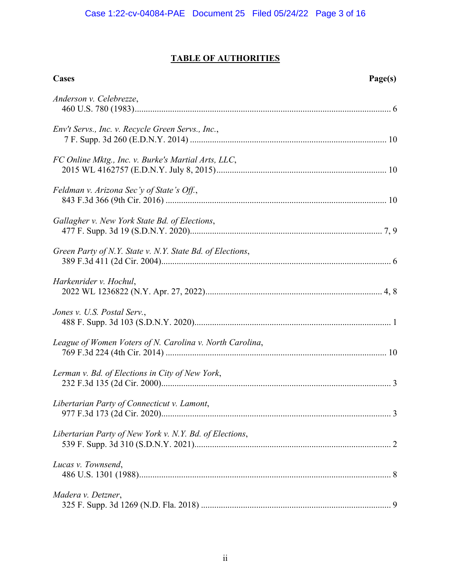# **TABLE OF AUTHORITIES**

| <b>Cases</b>                                              | Page(s) |
|-----------------------------------------------------------|---------|
| Anderson v. Celebrezze,                                   |         |
| Env't Servs., Inc. v. Recycle Green Servs., Inc.,         |         |
| FC Online Mktg., Inc. v. Burke's Martial Arts, LLC,       |         |
| Feldman v. Arizona Sec'y of State's Off.,                 |         |
| Gallagher v. New York State Bd. of Elections,             |         |
| Green Party of N.Y. State v. N.Y. State Bd. of Elections, |         |
| Harkenrider v. Hochul,                                    |         |
| Jones v. U.S. Postal Serv.,                               |         |
| League of Women Voters of N. Carolina v. North Carolina,  |         |
| Lerman v. Bd. of Elections in City of New York,           |         |
| Libertarian Party of Connecticut v. Lamont,               |         |
| Libertarian Party of New York v. N.Y. Bd. of Elections,   |         |
| Lucas v. Townsend,                                        |         |
| Madera v. Detzner,                                        |         |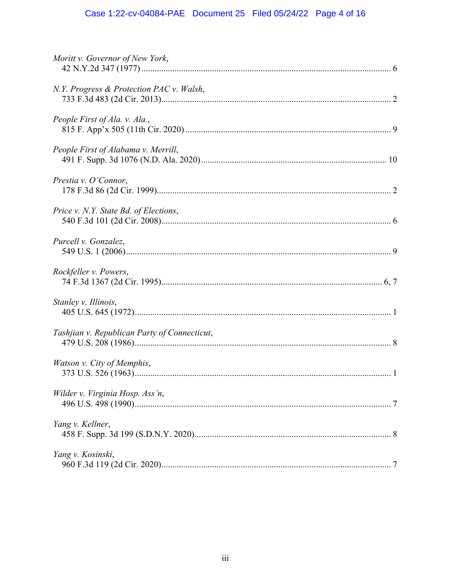# Case 1:22-cv-04084-PAE Document 25 Filed 05/24/22 Page 4 of 16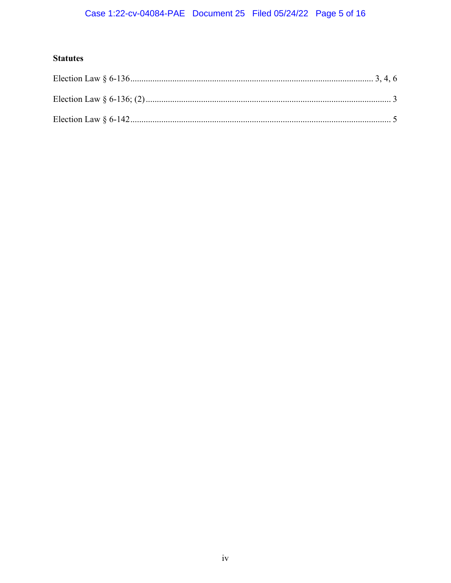# Case 1:22-cv-04084-PAE Document 25 Filed 05/24/22 Page 5 of 16

# **Statutes**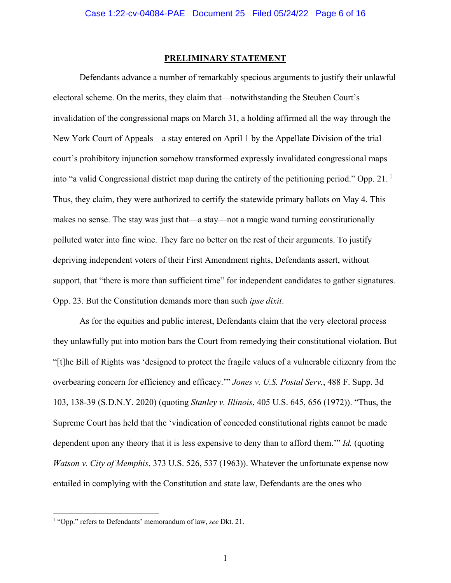#### **PRELIMINARY STATEMENT**

Defendants advance a number of remarkably specious arguments to justify their unlawful electoral scheme. On the merits, they claim that—notwithstanding the Steuben Court's invalidation of the congressional maps on March 31, a holding affirmed all the way through the New York Court of Appeals—a stay entered on April 1 by the Appellate Division of the trial court's prohibitory injunction somehow transformed expressly invalidated congressional maps into "a valid Congressional district map during the entirety of the petitioning period." Opp. 21. 1 Thus, they claim, they were authorized to certify the statewide primary ballots on May 4. This makes no sense. The stay was just that—a stay—not a magic wand turning constitutionally polluted water into fine wine. They fare no better on the rest of their arguments. To justify depriving independent voters of their First Amendment rights, Defendants assert, without support, that "there is more than sufficient time" for independent candidates to gather signatures. Opp. 23. But the Constitution demands more than such *ipse dixit*.

As for the equities and public interest, Defendants claim that the very electoral process they unlawfully put into motion bars the Court from remedying their constitutional violation. But "[t]he Bill of Rights was 'designed to protect the fragile values of a vulnerable citizenry from the overbearing concern for efficiency and efficacy.'" *Jones v. U.S. Postal Serv.*, 488 F. Supp. 3d 103, 138-39 (S.D.N.Y. 2020) (quoting *Stanley v. Illinois*, 405 U.S. 645, 656 (1972)). "Thus, the Supreme Court has held that the 'vindication of conceded constitutional rights cannot be made dependent upon any theory that it is less expensive to deny than to afford them.'" *Id.* (quoting *Watson v. City of Memphis*, 373 U.S. 526, 537 (1963)). Whatever the unfortunate expense now entailed in complying with the Constitution and state law, Defendants are the ones who

<sup>1</sup> "Opp." refers to Defendants' memorandum of law, *see* Dkt. 21.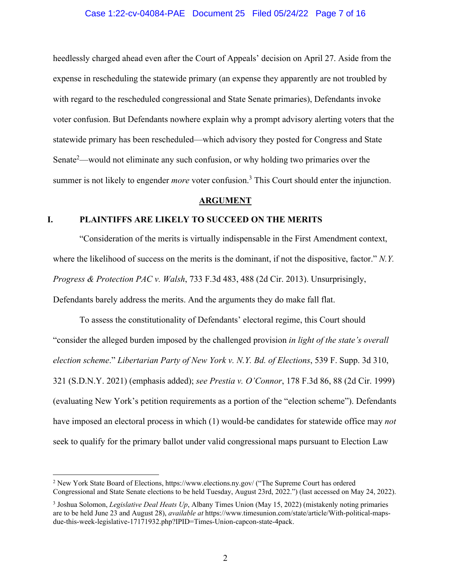#### Case 1:22-cv-04084-PAE Document 25 Filed 05/24/22 Page 7 of 16

heedlessly charged ahead even after the Court of Appeals' decision on April 27. Aside from the expense in rescheduling the statewide primary (an expense they apparently are not troubled by with regard to the rescheduled congressional and State Senate primaries), Defendants invoke voter confusion. But Defendants nowhere explain why a prompt advisory alerting voters that the statewide primary has been rescheduled—which advisory they posted for Congress and State Senate<sup>2</sup>—would not eliminate any such confusion, or why holding two primaries over the summer is not likely to engender *more* voter confusion.<sup>3</sup> This Court should enter the injunction.

#### **ARGUMENT**

### **I. PLAINTIFFS ARE LIKELY TO SUCCEED ON THE MERITS**

"Consideration of the merits is virtually indispensable in the First Amendment context, where the likelihood of success on the merits is the dominant, if not the dispositive, factor." *N.Y. Progress & Protection PAC v. Walsh*, 733 F.3d 483, 488 (2d Cir. 2013). Unsurprisingly, Defendants barely address the merits. And the arguments they do make fall flat.

To assess the constitutionality of Defendants' electoral regime, this Court should "consider the alleged burden imposed by the challenged provision *in light of the state's overall election scheme*." *Libertarian Party of New York v. N.Y. Bd. of Elections*, 539 F. Supp. 3d 310, 321 (S.D.N.Y. 2021) (emphasis added); *see Prestia v. O'Connor*, 178 F.3d 86, 88 (2d Cir. 1999) (evaluating New York's petition requirements as a portion of the "election scheme"). Defendants have imposed an electoral process in which (1) would-be candidates for statewide office may *not* seek to qualify for the primary ballot under valid congressional maps pursuant to Election Law

<sup>&</sup>lt;sup>2</sup> New York State Board of Elections, https://www.elections.ny.gov/ ("The Supreme Court has ordered Congressional and State Senate elections to be held Tuesday, August 23rd, 2022.") (last accessed on May 24, 2022).

<sup>&</sup>lt;sup>3</sup> Joshua Solomon, *Legislative Deal Heats Up*, Albany Times Union (May 15, 2022) (mistakenly noting primaries are to be held June 23 and August 28), *available at* https://www.timesunion.com/state/article/With-political-mapsdue-this-week-legislative-17171932.php?IPID=Times-Union-capcon-state-4pack.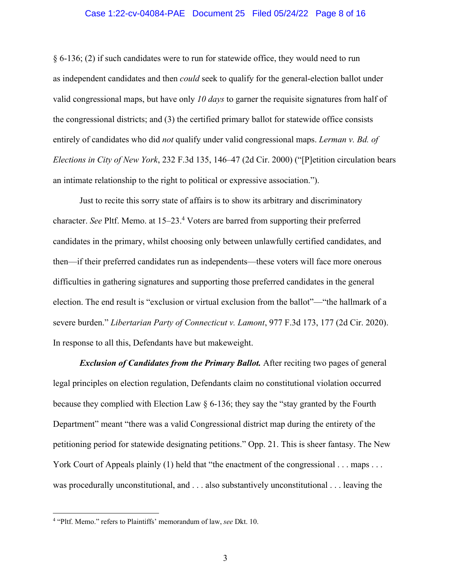#### Case 1:22-cv-04084-PAE Document 25 Filed 05/24/22 Page 8 of 16

§ 6-136; (2) if such candidates were to run for statewide office, they would need to run as independent candidates and then *could* seek to qualify for the general-election ballot under valid congressional maps, but have only *10 days* to garner the requisite signatures from half of the congressional districts; and (3) the certified primary ballot for statewide office consists entirely of candidates who did *not* qualify under valid congressional maps. *Lerman v. Bd. of Elections in City of New York*, 232 F.3d 135, 146–47 (2d Cir. 2000) ("[P]etition circulation bears an intimate relationship to the right to political or expressive association.").

Just to recite this sorry state of affairs is to show its arbitrary and discriminatory character. *See* Pltf. Memo. at 15–23.<sup>4</sup> Voters are barred from supporting their preferred candidates in the primary, whilst choosing only between unlawfully certified candidates, and then—if their preferred candidates run as independents—these voters will face more onerous difficulties in gathering signatures and supporting those preferred candidates in the general election. The end result is "exclusion or virtual exclusion from the ballot"—"the hallmark of a severe burden." *Libertarian Party of Connecticut v. Lamont*, 977 F.3d 173, 177 (2d Cir. 2020). In response to all this, Defendants have but makeweight.

*Exclusion of Candidates from the Primary Ballot.* After reciting two pages of general legal principles on election regulation, Defendants claim no constitutional violation occurred because they complied with Election Law § 6-136; they say the "stay granted by the Fourth Department" meant "there was a valid Congressional district map during the entirety of the petitioning period for statewide designating petitions." Opp. 21. This is sheer fantasy. The New York Court of Appeals plainly (1) held that "the enactment of the congressional . . . maps . . . was procedurally unconstitutional, and . . . also substantively unconstitutional . . . leaving the

<sup>4</sup> "Pltf. Memo." refers to Plaintiffs' memorandum of law, *see* Dkt. 10.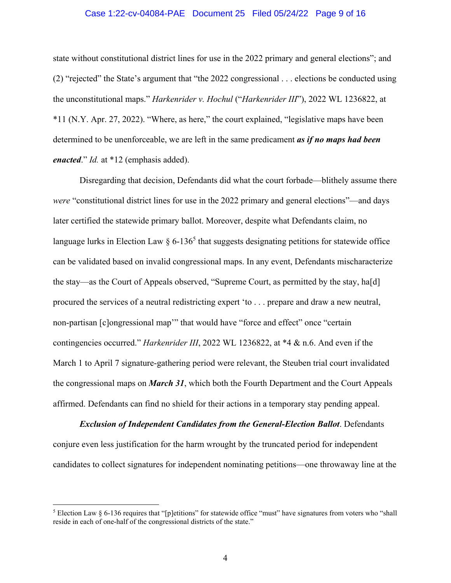#### Case 1:22-cv-04084-PAE Document 25 Filed 05/24/22 Page 9 of 16

state without constitutional district lines for use in the 2022 primary and general elections"; and (2) "rejected" the State's argument that "the 2022 congressional . . . elections be conducted using the unconstitutional maps." *Harkenrider v. Hochul* ("*Harkenrider III*"), 2022 WL 1236822, at \*11 (N.Y. Apr. 27, 2022). "Where, as here," the court explained, "legislative maps have been determined to be unenforceable, we are left in the same predicament *as if no maps had been enacted*." *Id.* at \*12 (emphasis added).

Disregarding that decision, Defendants did what the court forbade—blithely assume there *were* "constitutional district lines for use in the 2022 primary and general elections"—and days later certified the statewide primary ballot. Moreover, despite what Defendants claim, no language lurks in Election Law  $\S 6$ -136<sup>5</sup> that suggests designating petitions for statewide office can be validated based on invalid congressional maps. In any event, Defendants mischaracterize the stay—as the Court of Appeals observed, "Supreme Court, as permitted by the stay, ha[d] procured the services of a neutral redistricting expert 'to . . . prepare and draw a new neutral, non-partisan [c]ongressional map'" that would have "force and effect" once "certain contingencies occurred." *Harkenrider III*, 2022 WL 1236822, at \*4 & n.6. And even if the March 1 to April 7 signature-gathering period were relevant, the Steuben trial court invalidated the congressional maps on *March 31*, which both the Fourth Department and the Court Appeals affirmed. Defendants can find no shield for their actions in a temporary stay pending appeal.

*Exclusion of Independent Candidates from the General-Election Ballot*. Defendants conjure even less justification for the harm wrought by the truncated period for independent candidates to collect signatures for independent nominating petitions—one throwaway line at the

<sup>&</sup>lt;sup>5</sup> Election Law § 6-136 requires that "[p]etitions" for statewide office "must" have signatures from voters who "shall reside in each of one-half of the congressional districts of the state."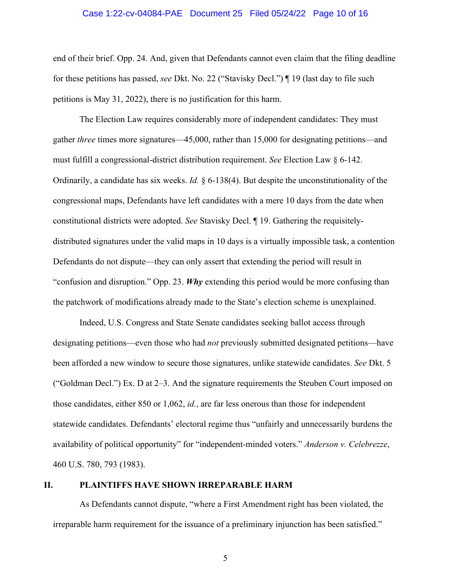#### Case 1:22-cv-04084-PAE Document 25 Filed 05/24/22 Page 10 of 16

end of their brief. Opp. 24. And, given that Defendants cannot even claim that the filing deadline for these petitions has passed, *see* Dkt. No. 22 ("Stavisky Decl.") ¶ 19 (last day to file such petitions is May 31, 2022), there is no justification for this harm.

 The Election Law requires considerably more of independent candidates: They must gather *three* times more signatures—45,000, rather than 15,000 for designating petitions—and must fulfill a congressional-district distribution requirement. *See* Election Law § 6-142. Ordinarily, a candidate has six weeks. *Id.* § 6-138(4). But despite the unconstitutionality of the congressional maps, Defendants have left candidates with a mere 10 days from the date when constitutional districts were adopted. *See* Stavisky Decl. ¶ 19. Gathering the requisitelydistributed signatures under the valid maps in 10 days is a virtually impossible task, a contention Defendants do not dispute—they can only assert that extending the period will result in "confusion and disruption." Opp. 23. *Why* extending this period would be more confusing than the patchwork of modifications already made to the State's election scheme is unexplained.

Indeed, U.S. Congress and State Senate candidates seeking ballot access through designating petitions—even those who had *not* previously submitted designated petitions—have been afforded a new window to secure those signatures, unlike statewide candidates. *See* Dkt. 5 ("Goldman Decl.") Ex. D at 2–3. And the signature requirements the Steuben Court imposed on those candidates, either 850 or 1,062, *id.*, are far less onerous than those for independent statewide candidates. Defendants' electoral regime thus "unfairly and unnecessarily burdens the availability of political opportunity" for "independent-minded voters." *Anderson v. Celebrezze*, 460 U.S. 780, 793 (1983).

#### **II. PLAINTIFFS HAVE SHOWN IRREPARABLE HARM**

As Defendants cannot dispute, "where a First Amendment right has been violated, the irreparable harm requirement for the issuance of a preliminary injunction has been satisfied."

5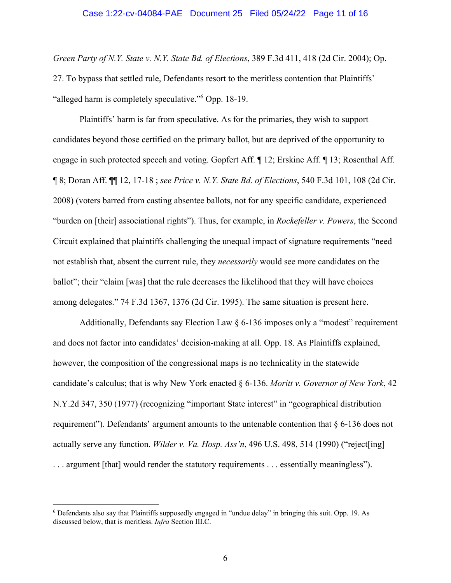#### Case 1:22-cv-04084-PAE Document 25 Filed 05/24/22 Page 11 of 16

*Green Party of N.Y. State v. N.Y. State Bd. of Elections*, 389 F.3d 411, 418 (2d Cir. 2004); Op. 27. To bypass that settled rule, Defendants resort to the meritless contention that Plaintiffs' "alleged harm is completely speculative."6 Opp. 18-19.

Plaintiffs' harm is far from speculative. As for the primaries, they wish to support candidates beyond those certified on the primary ballot, but are deprived of the opportunity to engage in such protected speech and voting. Gopfert Aff. ¶ 12; Erskine Aff. ¶ 13; Rosenthal Aff. ¶ 8; Doran Aff. ¶¶ 12, 17-18 ; *see Price v. N.Y. State Bd. of Elections*, 540 F.3d 101, 108 (2d Cir. 2008) (voters barred from casting absentee ballots, not for any specific candidate, experienced "burden on [their] associational rights"). Thus, for example, in *Rockefeller v. Powers*, the Second Circuit explained that plaintiffs challenging the unequal impact of signature requirements "need not establish that, absent the current rule, they *necessarily* would see more candidates on the ballot"; their "claim [was] that the rule decreases the likelihood that they will have choices among delegates." 74 F.3d 1367, 1376 (2d Cir. 1995). The same situation is present here.

Additionally, Defendants say Election Law § 6-136 imposes only a "modest" requirement and does not factor into candidates' decision-making at all. Opp. 18. As Plaintiffs explained, however, the composition of the congressional maps is no technicality in the statewide candidate's calculus; that is why New York enacted § 6-136. *Moritt v. Governor of New York*, 42 N.Y.2d 347, 350 (1977) (recognizing "important State interest" in "geographical distribution requirement"). Defendants' argument amounts to the untenable contention that  $\S 6$ -136 does not actually serve any function. *Wilder v. Va. Hosp. Ass'n*, 496 U.S. 498, 514 (1990) ("reject[ing] . . . argument [that] would render the statutory requirements . . . essentially meaningless").

<sup>&</sup>lt;sup>6</sup> Defendants also say that Plaintiffs supposedly engaged in "undue delay" in bringing this suit. Opp. 19. As discussed below, that is meritless. *Infra* Section III.C.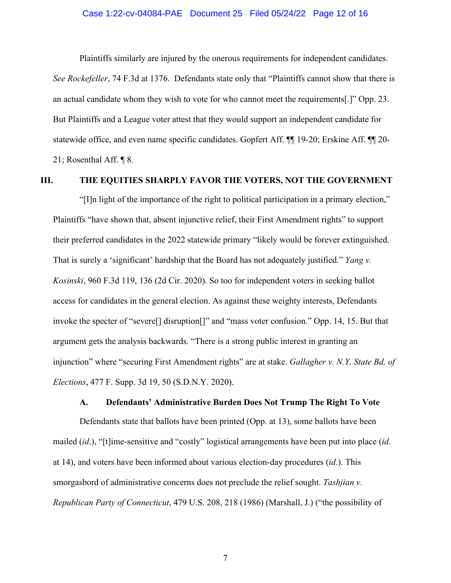#### Case 1:22-cv-04084-PAE Document 25 Filed 05/24/22 Page 12 of 16

Plaintiffs similarly are injured by the onerous requirements for independent candidates.

*See Rockefeller*, 74 F.3d at 1376. Defendants state only that "Plaintiffs cannot show that there is an actual candidate whom they wish to vote for who cannot meet the requirements[.]" Opp. 23. But Plaintiffs and a League voter attest that they would support an independent candidate for statewide office, and even name specific candidates. Gopfert Aff. ¶¶ 19-20; Erskine Aff. ¶¶ 20- 21; Rosenthal Aff. ¶ 8.

## **III. THE EQUITIES SHARPLY FAVOR THE VOTERS, NOT THE GOVERNMENT**

"[I]n light of the importance of the right to political participation in a primary election," Plaintiffs "have shown that, absent injunctive relief, their First Amendment rights" to support their preferred candidates in the 2022 statewide primary "likely would be forever extinguished. That is surely a 'significant' hardship that the Board has not adequately justified." *Yang v. Kosinski*, 960 F.3d 119, 136 (2d Cir. 2020). So too for independent voters in seeking ballot access for candidates in the general election. As against these weighty interests, Defendants invoke the specter of "severe[] disruption[]" and "mass voter confusion." Opp. 14, 15. But that argument gets the analysis backwards. "There is a strong public interest in granting an injunction" where "securing First Amendment rights" are at stake. *Gallagher v. N.Y. State Bd. of Elections*, 477 F. Supp. 3d 19, 50 (S.D.N.Y. 2020).

#### **A. Defendants' Administrative Burden Does Not Trump The Right To Vote**

Defendants state that ballots have been printed (Opp. at 13), some ballots have been mailed (*id*.), "[t]ime-sensitive and "costly" logistical arrangements have been put into place (*id*. at 14), and voters have been informed about various election-day procedures (*id*.). This smorgasbord of administrative concerns does not preclude the relief sought. *Tashjian v. Republican Party of Connecticut*, 479 U.S. 208, 218 (1986) (Marshall, J.) ("the possibility of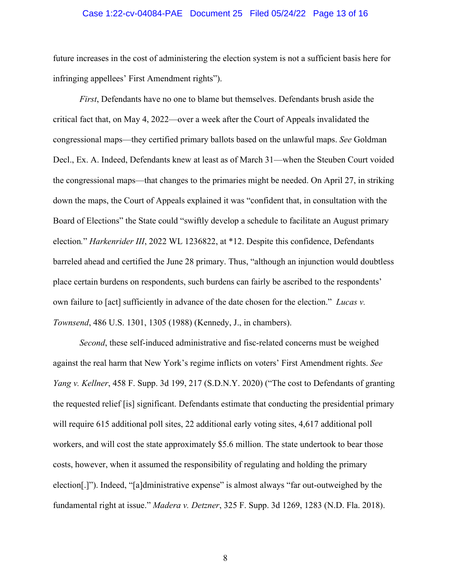#### Case 1:22-cv-04084-PAE Document 25 Filed 05/24/22 Page 13 of 16

future increases in the cost of administering the election system is not a sufficient basis here for infringing appellees' First Amendment rights").

*First*, Defendants have no one to blame but themselves. Defendants brush aside the critical fact that, on May 4, 2022—over a week after the Court of Appeals invalidated the congressional maps—they certified primary ballots based on the unlawful maps. *See* Goldman Decl., Ex. A. Indeed, Defendants knew at least as of March 31—when the Steuben Court voided the congressional maps—that changes to the primaries might be needed. On April 27, in striking down the maps, the Court of Appeals explained it was "confident that, in consultation with the Board of Elections" the State could "swiftly develop a schedule to facilitate an August primary election*.*" *Harkenrider III*, 2022 WL 1236822, at \*12. Despite this confidence, Defendants barreled ahead and certified the June 28 primary. Thus, "although an injunction would doubtless place certain burdens on respondents, such burdens can fairly be ascribed to the respondents' own failure to [act] sufficiently in advance of the date chosen for the election." *Lucas v. Townsend*, 486 U.S. 1301, 1305 (1988) (Kennedy, J., in chambers).

*Second*, these self-induced administrative and fisc-related concerns must be weighed against the real harm that New York's regime inflicts on voters' First Amendment rights. *See Yang v. Kellner*, 458 F. Supp. 3d 199, 217 (S.D.N.Y. 2020) ("The cost to Defendants of granting the requested relief [is] significant. Defendants estimate that conducting the presidential primary will require 615 additional poll sites, 22 additional early voting sites, 4,617 additional poll workers, and will cost the state approximately \$5.6 million. The state undertook to bear those costs, however, when it assumed the responsibility of regulating and holding the primary election[.]"). Indeed, "[a]dministrative expense" is almost always "far out-outweighed by the fundamental right at issue." *Madera v. Detzner*, 325 F. Supp. 3d 1269, 1283 (N.D. Fla. 2018).

8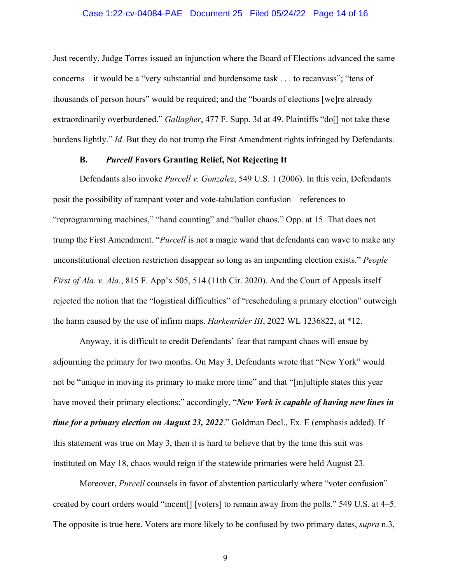#### Case 1:22-cv-04084-PAE Document 25 Filed 05/24/22 Page 14 of 16

Just recently, Judge Torres issued an injunction where the Board of Elections advanced the same concerns—it would be a "very substantial and burdensome task . . . to recanvass"; "tens of thousands of person hours" would be required; and the "boards of elections [we]re already extraordinarily overburdened." *Gallagher*, 477 F. Supp. 3d at 49. Plaintiffs "do[] not take these burdens lightly." *Id*. But they do not trump the First Amendment rights infringed by Defendants.

#### **B.** *Purcell* **Favors Granting Relief, Not Rejecting It**

Defendants also invoke *Purcell v. Gonzalez*, 549 U.S. 1 (2006). In this vein, Defendants posit the possibility of rampant voter and vote-tabulation confusion—references to "reprogramming machines," "hand counting" and "ballot chaos." Opp. at 15. That does not trump the First Amendment. "*Purcell* is not a magic wand that defendants can wave to make any unconstitutional election restriction disappear so long as an impending election exists." *People First of Ala. v. Ala.*, 815 F. App'x 505, 514 (11th Cir. 2020). And the Court of Appeals itself rejected the notion that the "logistical difficulties" of "rescheduling a primary election" outweigh the harm caused by the use of infirm maps. *Harkenrider III*, 2022 WL 1236822, at \*12.

Anyway, it is difficult to credit Defendants' fear that rampant chaos will ensue by adjourning the primary for two months. On May 3, Defendants wrote that "New York" would not be "unique in moving its primary to make more time" and that "[m]ultiple states this year have moved their primary elections;" accordingly, "*New York is capable of having new lines in time for a primary election on August 23, 2022*." Goldman Decl., Ex. E (emphasis added). If this statement was true on May 3, then it is hard to believe that by the time this suit was instituted on May 18, chaos would reign if the statewide primaries were held August 23.

Moreover, *Purcell* counsels in favor of abstention particularly where "voter confusion" created by court orders would "incent[] [voters] to remain away from the polls." 549 U.S. at 4–5. The opposite is true here. Voters are more likely to be confused by two primary dates, *supra* n.3,

9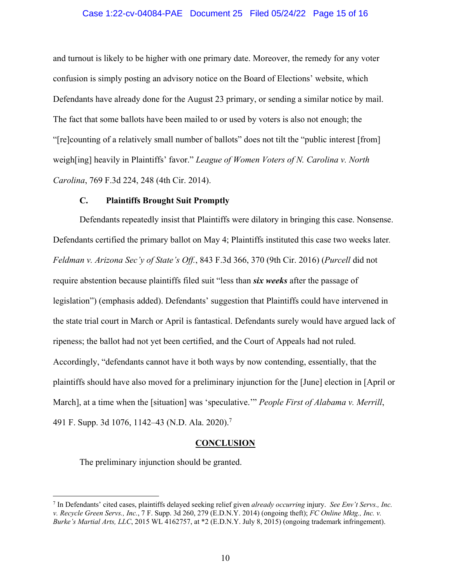#### Case 1:22-cv-04084-PAE Document 25 Filed 05/24/22 Page 15 of 16

and turnout is likely to be higher with one primary date. Moreover, the remedy for any voter confusion is simply posting an advisory notice on the Board of Elections' website, which Defendants have already done for the August 23 primary, or sending a similar notice by mail. The fact that some ballots have been mailed to or used by voters is also not enough; the "[re]counting of a relatively small number of ballots" does not tilt the "public interest [from] weigh[ing] heavily in Plaintiffs' favor." *League of Women Voters of N. Carolina v. North Carolina*, 769 F.3d 224, 248 (4th Cir. 2014).

#### **C. Plaintiffs Brought Suit Promptly**

Defendants repeatedly insist that Plaintiffs were dilatory in bringing this case. Nonsense. Defendants certified the primary ballot on May 4; Plaintiffs instituted this case two weeks later*. Feldman v. Arizona Sec'y of State's Off.*, 843 F.3d 366, 370 (9th Cir. 2016) (*Purcell* did not require abstention because plaintiffs filed suit "less than *six weeks* after the passage of legislation") (emphasis added). Defendants' suggestion that Plaintiffs could have intervened in the state trial court in March or April is fantastical. Defendants surely would have argued lack of ripeness; the ballot had not yet been certified, and the Court of Appeals had not ruled. Accordingly, "defendants cannot have it both ways by now contending, essentially, that the plaintiffs should have also moved for a preliminary injunction for the [June] election in [April or March], at a time when the [situation] was 'speculative.'" *People First of Alabama v. Merrill*, 491 F. Supp. 3d 1076, 1142–43 (N.D. Ala. 2020).7

#### **CONCLUSION**

The preliminary injunction should be granted.

<sup>7</sup> In Defendants' cited cases, plaintiffs delayed seeking relief given *already occurring* injury. *See Env't Servs., Inc. v. Recycle Green Servs., Inc.*, 7 F. Supp. 3d 260, 279 (E.D.N.Y. 2014) (ongoing theft); *FC Online Mktg., Inc. v. Burke's Martial Arts, LLC*, 2015 WL 4162757, at \*2 (E.D.N.Y. July 8, 2015) (ongoing trademark infringement).